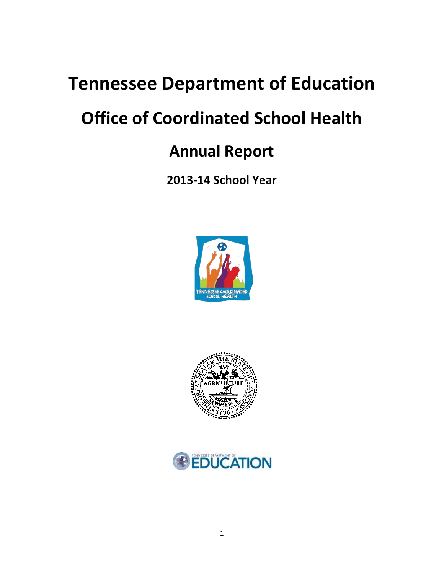# **Tennessee Department of Education**

# **Office of Coordinated School Health**

## **Annual Report**

**2013-14 School Year**





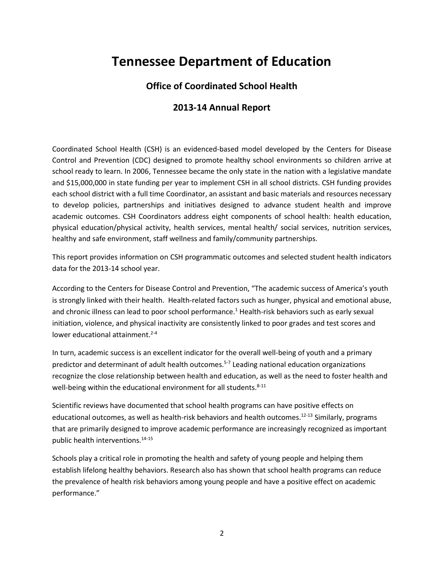### **Tennessee Department of Education**

### **Office of Coordinated School Health**

### **2013-14 Annual Report**

Coordinated School Health (CSH) is an evidenced-based model developed by the Centers for Disease Control and Prevention (CDC) designed to promote healthy school environments so children arrive at school ready to learn. In 2006, Tennessee became the only state in the nation with a legislative mandate and \$15,000,000 in state funding per year to implement CSH in all school districts. CSH funding provides each school district with a full time Coordinator, an assistant and basic materials and resources necessary to develop policies, partnerships and initiatives designed to advance student health and improve academic outcomes. CSH Coordinators address eight components of school health: health education, physical education/physical activity, health services, mental health/ social services, nutrition services, healthy and safe environment, staff wellness and family/community partnerships.

This report provides information on CSH programmatic outcomes and selected student health indicators data for the 2013-14 school year.

According to the Centers for Disease Control and Prevention, "The academic success of America's youth is strongly linked with their health. Health-related factors such as hunger, physical and emotional abuse, and chronic illness can lead to poor school performance.<sup>1</sup> Health-risk behaviors such as early sexual initiation, violence, and physical inactivity are consistently linked to poor grades and test scores and lower educational attainment.<sup>2-4</sup>

In turn, academic success is an excellent indicator for the overall well-being of youth and a primary predictor and determinant of adult health outcomes.<sup>5-7</sup> Leading national education organizations recognize the close relationship between health and education, as well as the need to foster health and well-being within the educational environment for all students.<sup>8-11</sup>

Scientific reviews have documented that school health programs can have positive effects on educational outcomes, as well as health-risk behaviors and health outcomes.<sup>12-13</sup> Similarly, programs that are primarily designed to improve academic performance are increasingly recognized as important public health interventions.14-15

Schools play a critical role in promoting the health and safety of young people and helping them establish lifelong healthy behaviors. Research also has shown that school health programs can reduce the prevalence of health risk behaviors among young people and have a positive effect on academic performance."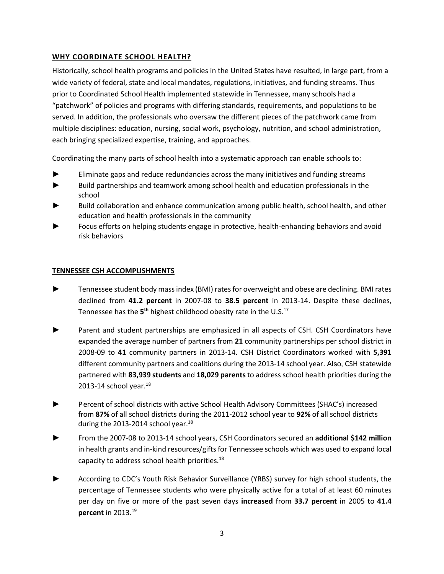#### **WHY COORDINATE SCHOOL HEALTH?**

Historically, school health programs and policies in the United States have resulted, in large part, from a wide variety of federal, state and local mandates, regulations, initiatives, and funding streams. Thus prior to Coordinated School Health implemented statewide in Tennessee, many schools had a "patchwork" of policies and programs with differing standards, requirements, and populations to be served. In addition, the professionals who oversaw the different pieces of the patchwork came from multiple disciplines: education, nursing, social work, psychology, nutrition, and school administration, each bringing specialized expertise, training, and approaches.

Coordinating the many parts of school health into a systematic approach can enable schools to:

- Eliminate gaps and reduce redundancies across the many initiatives and funding streams
- ► Build partnerships and teamwork among school health and education professionals in the school
- Build collaboration and enhance communication among public health, school health, and other education and health professionals in the community
- Focus efforts on helping students engage in protective, health-enhancing behaviors and avoid risk behaviors

#### **TENNESSEE CSH ACCOMPLISHMENTS**

- Tennessee student body mass index (BMI) rates for overweight and obese are declining. BMI rates declined from **41.2 percent** in 2007-08 to **38.5 percent** in 2013-14. Despite these declines, Tennessee has the 5<sup>th</sup> highest childhood obesity rate in the U.S.<sup>17</sup>
- Parent and student partnerships are emphasized in all aspects of CSH. CSH Coordinators have expanded the average number of partners from **21** community partnerships per school district in 2008-09 to **41** community partners in 2013-14. CSH District Coordinators worked with **5,391** different community partners and coalitions during the 2013-14 school year. Also, CSH statewide partnered with **83,939 students** and **18,029 parents**to address school health priorities during the 2013-14 school year. $^{18}$
- ► Percent of school districts with active School Health Advisory Committees (SHAC's) increased from **87%** of all school districts during the 2011-2012 school year to **92%** of all school districts during the 2013-2014 school year. $^{18}$
- ► From the 2007-08 to 2013-14 school years, CSH Coordinators secured an **additional \$142 million**  in health grants and in-kind resources/gifts for Tennessee schools which was used to expand local capacity to address school health priorities.<sup>18</sup>
- According to CDC's Youth Risk Behavior Surveillance (YRBS) survey for high school students, the percentage of Tennessee students who were physically active for a total of at least 60 minutes per day on five or more of the past seven days **increased** from **33.7 percent** in 2005 to **41.4 percent** in 2013.<sup>19</sup>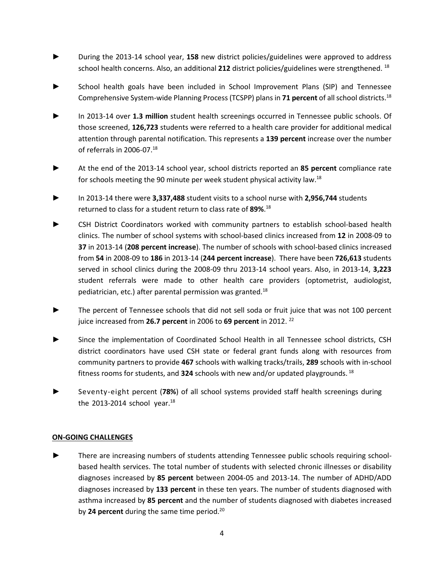- ► During the 2013-14 school year, **158** new district policies/guidelines were approved to address school health concerns. Also, an additional **212** district policies/guidelines were strengthened. 18
- **►** School health goals have been included in School Improvement Plans (SIP) and Tennessee Comprehensive System-wide Planning Process (TCSPP) plans in **71 percent** of all school districts.18
- **►** In 2013-14 over **1.3 million** student health screenings occurred in Tennessee public schools. Of those screened, **126,723** students were referred to a health care provider for additional medical attention through parental notification. This represents a **139 percent** increase over the number of referrals in 2006-07. 18
- **►** At the end of the 2013-14 school year, school districts reported an **85 percent** compliance rate for schools meeting the 90 minute per week student physical activity law.<sup>18</sup>
- ► In 2013-14 there were **3,337,488** student visits to a school nurse with **2,956,744** students returned to class for a student return to class rate of **89%**. 18
- CSH District Coordinators worked with community partners to establish school-based health clinics. The number of school systems with school-based clinics increased from **12** in 2008-09 to **37** in 2013-14 (**208 percent increase**). The number of schools with school-based clinics increased from **54** in 2008-09 to **186** in 2013-14 (**244 percent increase**). There have been **726,613** students served in school clinics during the 2008-09 thru 2013-14 school years. Also, in 2013-14, **3,223** student referrals were made to other health care providers (optometrist, audiologist, pediatrician, etc.) after parental permission was granted.18
- The percent of Tennessee schools that did not sell soda or fruit juice that was not 100 percent juice increased from **26.7 percent** in 2006 to **69 percent** in 2012. 22
- **►** Since the implementation of Coordinated School Health in all Tennessee school districts, CSH district coordinators have used CSH state or federal grant funds along with resources from community partners to provide **467** schools with walking tracks/trails, **289** schools with in-school fitness rooms for students, and **324** schools with new and/or updated playgrounds. <sup>18</sup>
- **►** Seventy-eight percent (**78%**) of all school systems provided staff health screenings during the 2013-2014 school year. $^{18}$

#### **ON-GOING CHALLENGES**

► There are increasing numbers of students attending Tennessee public schools requiring schoolbased health services. The total number of students with selected chronic illnesses or disability diagnoses increased by **85 percent** between 2004-05 and 2013-14. The number of ADHD/ADD diagnoses increased by **133 percent** in these ten years. The number of students diagnosed with asthma increased by **85 percent** and the number of students diagnosed with diabetes increased by **24 percent** during the same time period.20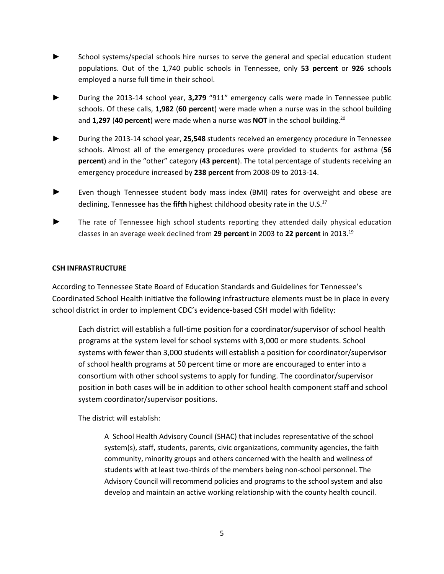- School systems/special schools hire nurses to serve the general and special education student populations. Out of the 1,740 public schools in Tennessee, only **53 percent** or **926** schools employed a nurse full time in their school.
- ► During the 2013-14 school year, **3,279** "911" emergency calls were made in Tennessee public schools. Of these calls, **1,982** (**60 percent**) were made when a nurse was in the school building and **1,297** (**40 percent**) were made when a nurse was **NOT** in the school building.20
- ► During the 2013-14 school year, **25,548** students received an emergency procedure in Tennessee schools. Almost all of the emergency procedures were provided to students for asthma (**56 percent**) and in the "other" category (**43 percent**). The total percentage of students receiving an emergency procedure increased by **238 percent** from 2008-09 to 2013-14.
- Even though Tennessee student body mass index (BMI) rates for overweight and obese are declining, Tennessee has the **fifth** highest childhood obesity rate in the U.S.<sup>17</sup>
- The rate of Tennessee high school students reporting they attended *daily* physical education classes in an average week declined from **29 percent** in 2003 to **22 percent** in 2013. 19

#### **CSH INFRASTRUCTURE**

According to Tennessee State Board of Education Standards and Guidelines for Tennessee's Coordinated School Health initiative the following infrastructure elements must be in place in every school district in order to implement CDC's evidence-based CSH model with fidelity:

Each district will establish a full-time position for a coordinator/supervisor of school health programs at the system level for school systems with 3,000 or more students. School systems with fewer than 3,000 students will establish a position for coordinator/supervisor of school health programs at 50 percent time or more are encouraged to enter into a consortium with other school systems to apply for funding. The coordinator/supervisor position in both cases will be in addition to other school health component staff and school system coordinator/supervisor positions.

The district will establish:

A School Health Advisory Council (SHAC) that includes representative of the school system(s), staff, students, parents, civic organizations, community agencies, the faith community, minority groups and others concerned with the health and wellness of students with at least two-thirds of the members being non-school personnel. The Advisory Council will recommend policies and programs to the school system and also develop and maintain an active working relationship with the county health council.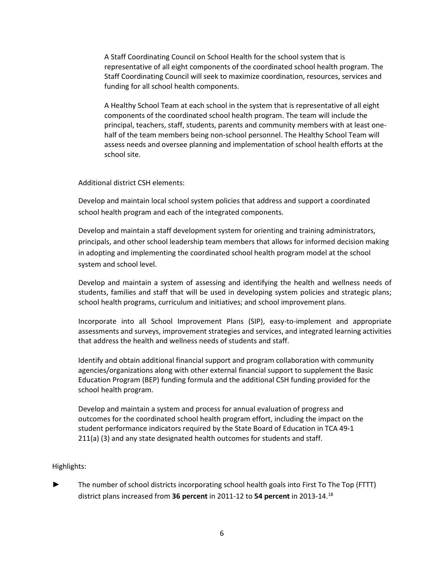A Staff Coordinating Council on School Health for the school system that is representative of all eight components of the coordinated school health program. The Staff Coordinating Council will seek to maximize coordination, resources, services and funding for all school health components.

A Healthy School Team at each school in the system that is representative of all eight components of the coordinated school health program. The team will include the principal, teachers, staff, students, parents and community members with at least onehalf of the team members being non-school personnel. The Healthy School Team will assess needs and oversee planning and implementation of school health efforts at the school site.

Additional district CSH elements:

Develop and maintain local school system policies that address and support a coordinated school health program and each of the integrated components.

Develop and maintain a staff development system for orienting and training administrators, principals, and other school leadership team members that allows for informed decision making in adopting and implementing the coordinated school health program model at the school system and school level.

Develop and maintain a system of assessing and identifying the health and wellness needs of students, families and staff that will be used in developing system policies and strategic plans; school health programs, curriculum and initiatives; and school improvement plans.

Incorporate into all School Improvement Plans (SIP), easy-to-implement and appropriate assessments and surveys, improvement strategies and services, and integrated learning activities that address the health and wellness needs of students and staff.

Identify and obtain additional financial support and program collaboration with community agencies/organizations along with other external financial support to supplement the Basic Education Program (BEP) funding formula and the additional CSH funding provided for the school health program.

Develop and maintain a system and process for annual evaluation of progress and outcomes for the coordinated school health program effort, including the impact on the student performance indicators required by the State Board of Education in TCA 49-1 211(a) (3) and any state designated health outcomes for students and staff.

#### Highlights:

The number of school districts incorporating school health goals into First To The Top (FTTT) district plans increased from **36 percent** in 2011-12 to **54 percent** in 2013-14. 18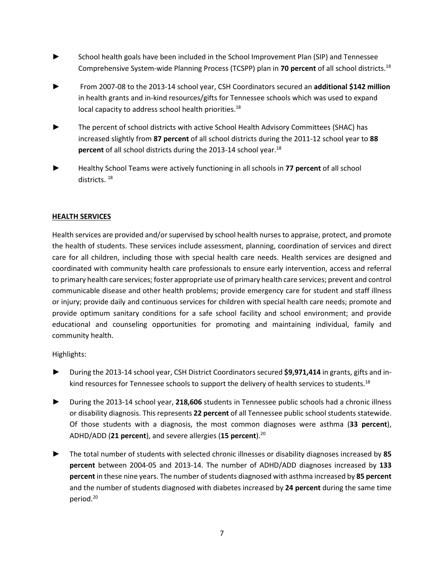- School health goals have been included in the School Improvement Plan (SIP) and Tennessee Comprehensive System-wide Planning Process (TCSPP) plan in **70 percent** of all school districts.18
- ► From 2007-08 to the 2013-14 school year, CSH Coordinators secured an **additional \$142 million** in health grants and in-kind resources/gifts for Tennessee schools which was used to expand local capacity to address school health priorities.<sup>18</sup>
- The percent of school districts with active School Health Advisory Committees (SHAC) has increased slightly from **87 percent** of all school districts during the 2011-12 school year to **88 percent** of all school districts during the 2013-14 school year.<sup>18</sup>
- ► Healthy School Teams were actively functioning in all schools in **77 percent** of all school districts. 18

#### **HEALTH SERVICES**

Health services are provided and/or supervised by school health nurses to appraise, protect, and promote the health of students. These services include assessment, planning, coordination of services and direct care for all children, including those with special health care needs. Health services are designed and coordinated with community health care professionals to ensure early intervention, access and referral to primary health care services; foster appropriate use of primary health care services; prevent and control communicable disease and other health problems; provide emergency care for student and staff illness or injury; provide daily and continuous services for children with special health care needs; promote and provide optimum sanitary conditions for a safe school facility and school environment; and provide educational and counseling opportunities for promoting and maintaining individual, family and community health.

- ► During the 2013-14 school year, CSH District Coordinators secured **\$9,971,414** in grants, gifts and inkind resources for Tennessee schools to support the delivery of health services to students.<sup>18</sup>
- ► During the 2013-14 school year, **218,606** students in Tennessee public schools had a chronic illness or disability diagnosis. This represents **22 percent** of all Tennessee public school students statewide. Of those students with a diagnosis, the most common diagnoses were asthma (**33 percent**), ADHD/ADD (**21 percent**), and severe allergies (**15 percent**).20
- ► The total number of students with selected chronic illnesses or disability diagnoses increased by **85 percent** between 2004-05 and 2013-14. The number of ADHD/ADD diagnoses increased by **133 percent** in these nine years. The number of students diagnosed with asthma increased by **85 percent** and the number of students diagnosed with diabetes increased by **24 percent** during the same time period.<sup>20</sup>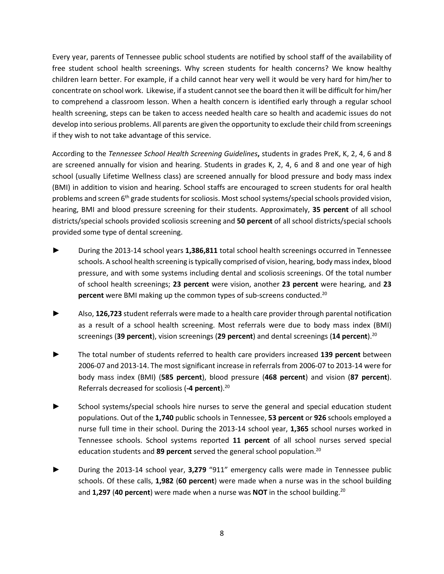Every year, parents of Tennessee public school students are notified by school staff of the availability of free student school health screenings. Why screen students for health concerns? We know healthy children learn better. For example, if a child cannot hear very well it would be very hard for him/her to concentrate on school work. Likewise, if a student cannot see the board then it will be difficult for him/her to comprehend a classroom lesson. When a health concern is identified early through a regular school health screening, steps can be taken to access needed health care so health and academic issues do not develop into serious problems. All parents are given the opportunity to exclude their child from screenings if they wish to not take advantage of this service.

According to the *Tennessee School Health Screening Guidelines***,** students in grades PreK, K, 2, 4, 6 and 8 are screened annually for vision and hearing. Students in grades K, 2, 4, 6 and 8 and one year of high school (usually Lifetime Wellness class) are screened annually for blood pressure and body mass index (BMI) in addition to vision and hearing. School staffs are encouraged to screen students for oral health problems and screen 6<sup>th</sup> grade students for scoliosis. Most school systems/special schools provided vision, hearing, BMI and blood pressure screening for their students. Approximately, **35 percent** of all school districts/special schools provided scoliosis screening and **50 percent** of all school districts/special schools provided some type of dental screening.

- ► During the 2013-14 school years **1,386,811** total school health screenings occurred in Tennessee schools. A school health screening is typically comprised of vision, hearing, body mass index, blood pressure, and with some systems including dental and scoliosis screenings. Of the total number of school health screenings; **23 percent** were vision, another **23 percent** were hearing, and **23 percent** were BMI making up the common types of sub-screens conducted.<sup>20</sup>
- ► Also, **126,723** student referrals were made to a health care provider through parental notification as a result of a school health screening. Most referrals were due to body mass index (BMI) screenings (**39 percent**), vision screenings (**29 percent**) and dental screenings (**14 percent**). 20
- ► The total number of students referred to health care providers increased **139 percent** between 2006-07 and 2013-14. The most significant increase in referrals from 2006-07 to 2013-14 were for body mass index (BMI) (**585 percent**), blood pressure (**468 percent**) and vision (**87 percent**). Referrals decreased for scoliosis (**-4 percent**).20
- School systems/special schools hire nurses to serve the general and special education student populations. Out of the **1,740** public schools in Tennessee, **53 percent** or **926** schools employed a nurse full time in their school. During the 2013-14 school year, **1,365** school nurses worked in Tennessee schools. School systems reported **11 percent** of all school nurses served special education students and **89 percent** served the general school population.20
- ► During the 2013-14 school year, **3,279** "911" emergency calls were made in Tennessee public schools. Of these calls, **1,982** (**60 percent**) were made when a nurse was in the school building and **1,297** (**40 percent**) were made when a nurse was **NOT** in the school building.20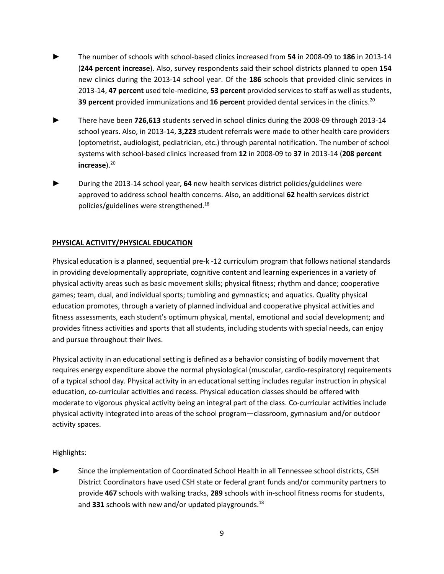- ► The number of schools with school-based clinics increased from **54** in 2008-09 to **186** in 2013-14 (**244 percent increase**). Also, survey respondents said their school districts planned to open **154** new clinics during the 2013-14 school year. Of the **186** schools that provided clinic services in 2013-14, **47 percent** used tele-medicine, **53 percent** provided services to staff as well as students, **39 percent** provided immunizations and **16 percent** provided dental services in the clinics.20
- ► There have been **726,613** students served in school clinics during the 2008-09 through 2013-14 school years. Also, in 2013-14, **3,223** student referrals were made to other health care providers (optometrist, audiologist, pediatrician, etc.) through parental notification. The number of school systems with school-based clinics increased from **12** in 2008-09 to **37** in 2013-14 (**208 percent increase**). 20
- ► During the 2013-14 school year, **64** new health services district policies/guidelines were approved to address school health concerns. Also, an additional **62** health services district policies/guidelines were strengthened.18

#### **PHYSICAL ACTIVITY/PHYSICAL EDUCATION**

Physical education is a planned, sequential pre-k -12 curriculum program that follows national standards in providing developmentally appropriate, cognitive content and learning experiences in a variety of physical activity areas such as basic movement skills; physical fitness; rhythm and dance; cooperative games; team, dual, and individual sports; tumbling and gymnastics; and aquatics. Quality physical education promotes, through a variety of planned individual and cooperative physical activities and fitness assessments, each student's optimum physical, mental, emotional and social development; and provides fitness activities and sports that all students, including students with special needs, can enjoy and pursue throughout their lives.

Physical activity in an educational setting is defined as a behavior consisting of bodily movement that requires energy expenditure above the normal physiological (muscular, cardio-respiratory) requirements of a typical school day. Physical activity in an educational setting includes regular instruction in physical education, co-curricular activities and recess. Physical education classes should be offered with moderate to vigorous physical activity being an integral part of the class. Co-curricular activities include physical activity integrated into areas of the school program—classroom, gymnasium and/or outdoor activity spaces.

Highlights:

Since the implementation of Coordinated School Health in all Tennessee school districts, CSH District Coordinators have used CSH state or federal grant funds and/or community partners to provide **467** schools with walking tracks, **289** schools with in-school fitness rooms for students, and **331** schools with new and/or updated playgrounds.<sup>18</sup>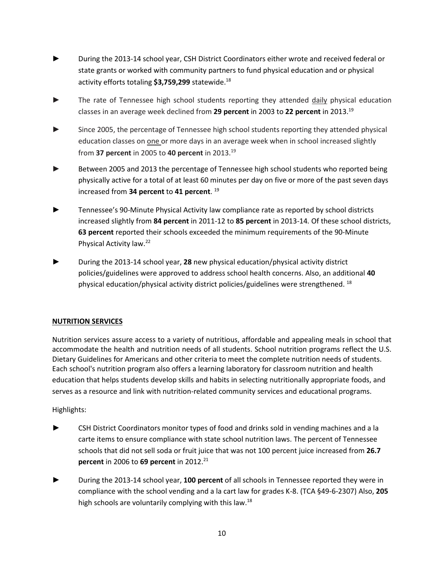- **►** During the 2013-14 school year, CSH District Coordinators either wrote and received federal or state grants or worked with community partners to fund physical education and or physical activity efforts totaling **\$3,759,299** statewide. 18
- The rate of Tennessee high school students reporting they attended daily physical education classes in an average week declined from **29 percent** in 2003 to **22 percent** in 2013. 19
- Since 2005, the percentage of Tennessee high school students reporting they attended physical education classes on one or more days in an average week when in school increased slightly from **37 percent** in 2005 to **40 percent** in 2013. 19
- Between 2005 and 2013 the percentage of Tennessee high school students who reported being physically active for a total of at least 60 minutes per day on five or more of the past seven days increased from **34 percent** to **41 percent**. <sup>19</sup>
- Tennessee's 90-Minute Physical Activity law compliance rate as reported by school districts increased slightly from **84 percent** in 2011-12 to **85 percent** in 2013-14*.* Of these school districts, **63 percent** reported their schools exceeded the minimum requirements of the 90-Minute Physical Activity law.22
- ► During the 2013-14 school year, **28** new physical education/physical activity district policies/guidelines were approved to address school health concerns. Also, an additional **40** physical education/physical activity district policies/guidelines were strengthened.  $^{18}$

#### **NUTRITION SERVICES**

Nutrition services assure access to a variety of nutritious, affordable and appealing meals in school that accommodate the health and nutrition needs of all students. School nutrition programs reflect the U.S. Dietary Guidelines for Americans and other criteria to meet the complete nutrition needs of students. Each school's nutrition program also offers a learning laboratory for classroom nutrition and health education that helps students develop skills and habits in selecting nutritionally appropriate foods, and serves as a resource and link with nutrition-related community services and educational programs.

- CSH District Coordinators monitor types of food and drinks sold in vending machines and a la carte items to ensure compliance with state school nutrition laws. The percent of Tennessee schools that did not sell soda or fruit juice that was not 100 percent juice increased from **26.7 percent** in 2006 to 69 percent in 2012.<sup>21</sup>
- ► During the 2013-14 school year, **100 percent** of all schools in Tennessee reported they were in compliance with the school vending and a la cart law for grades K-8. (TCA §49-6-2307) Also, **205** high schools are voluntarily complying with this law.<sup>18</sup>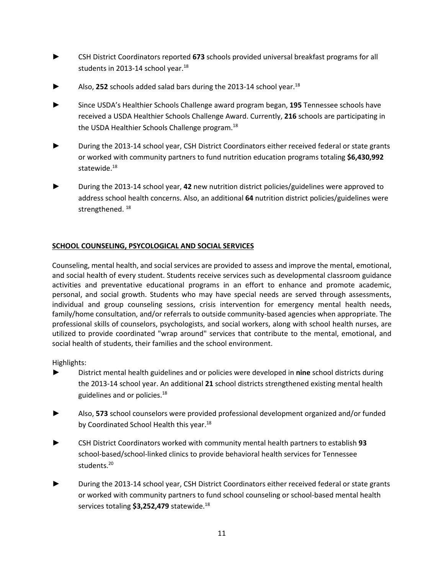- ► CSH District Coordinators reported **673** schools provided universal breakfast programs for all students in 2013-14 school year. $18$
- Also, 252 schools added salad bars during the 2013-14 school year.<sup>18</sup>
- ► Since USDA's Healthier Schools Challenge award program began, **195** Tennessee schools have received a USDA Healthier Schools Challenge Award. Currently, **216** schools are participating in the USDA Healthier Schools Challenge program.<sup>18</sup>
- During the 2013-14 school year, CSH District Coordinators either received federal or state grants or worked with community partners to fund nutrition education programs totaling **\$6,430,992** statewide.<sup>18</sup>
- ► During the 2013-14 school year, **42** new nutrition district policies/guidelines were approved to address school health concerns. Also, an additional **64** nutrition district policies/guidelines were strengthened.<sup>18</sup>

#### **SCHOOL COUNSELING, PSYCOLOGICAL AND SOCIAL SERVICES**

Counseling, mental health, and social services are provided to assess and improve the mental, emotional, and social health of every student. Students receive services such as developmental classroom guidance activities and preventative educational programs in an effort to enhance and promote academic, personal, and social growth. Students who may have special needs are served through assessments, individual and group counseling sessions, crisis intervention for emergency mental health needs, family/home consultation, and/or referrals to outside community-based agencies when appropriate. The professional skills of counselors, psychologists, and social workers, along with school health nurses, are utilized to provide coordinated "wrap around" services that contribute to the mental, emotional, and social health of students, their families and the school environment.

- ► District mental health guidelines and or policies were developed in **nine** school districts during the 2013-14 school year. An additional **21** school districts strengthened existing mental health guidelines and or policies. $18$
- **►** Also, **573** school counselors were provided professional development organized and/or funded by Coordinated School Health this year.<sup>18</sup>
- ► CSH District Coordinators worked with community mental health partners to establish **93** school-based/school-linked clinics to provide behavioral health services for Tennessee students. 20
- During the 2013-14 school year, CSH District Coordinators either received federal or state grants or worked with community partners to fund school counseling or school-based mental health services totaling **\$3,252,479** statewide. 18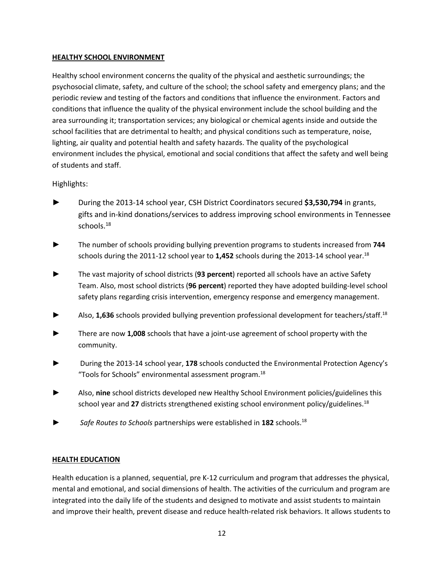#### **HEALTHY SCHOOL ENVIRONMENT**

Healthy school environment concerns the quality of the physical and aesthetic surroundings; the psychosocial climate, safety, and culture of the school; the school safety and emergency plans; and the periodic review and testing of the factors and conditions that influence the environment. Factors and conditions that influence the quality of the physical environment include the school building and the area surrounding it; transportation services; any biological or chemical agents inside and outside the school facilities that are detrimental to health; and physical conditions such as temperature, noise, lighting, air quality and potential health and safety hazards. The quality of the psychological environment includes the physical, emotional and social conditions that affect the safety and well being of students and staff.

#### Highlights:

- ► During the 2013-14 school year, CSH District Coordinators secured **\$3,530,794** in grants, gifts and in-kind donations/services to address improving school environments in Tennessee schools.<sup>18</sup>
- ► The number of schools providing bullying prevention programs to students increased from **744**  schools during the 2011-12 school year to **1,452** schools during the 2013-14 school year.18
- The vast majority of school districts (93 percent) reported all schools have an active Safety Team. Also, most school districts (**96 percent**) reported they have adopted building-level school safety plans regarding crisis intervention, emergency response and emergency management.
- Also, 1,636 schools provided bullying prevention professional development for teachers/staff.<sup>18</sup>
- ► There are now **1,008** schools that have a joint-use agreement of school property with the community.
- ► During the 2013-14 school year, **178** schools conducted the Environmental Protection Agency's "Tools for Schools" environmental assessment program.18
- ► Also, **nine** school districts developed new Healthy School Environment policies/guidelines this school year and 27 districts strengthened existing school environment policy/guidelines.<sup>18</sup>
- Safe Routes to Schools partnerships were established in 182 schools.<sup>18</sup>

#### **HEALTH EDUCATION**

Health education is a planned, sequential, pre K-12 curriculum and program that addresses the physical, mental and emotional, and social dimensions of health. The activities of the curriculum and program are integrated into the daily life of the students and designed to motivate and assist students to maintain and improve their health, prevent disease and reduce health-related risk behaviors. It allows students to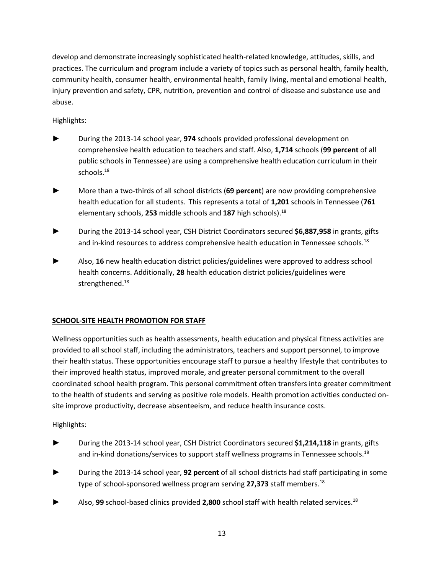develop and demonstrate increasingly sophisticated health-related knowledge, attitudes, skills, and practices. The curriculum and program include a variety of topics such as personal health, family health, community health, consumer health, environmental health, family living, mental and emotional health, injury prevention and safety, CPR, nutrition, prevention and control of disease and substance use and abuse.

#### Highlights:

- ► During the 2013-14 school year, **974** schools provided professional development on comprehensive health education to teachers and staff. Also, **1,714** schools (**99 percent** of all public schools in Tennessee) are using a comprehensive health education curriculum in their schools.<sup>18</sup>
- ► More than a two-thirds of all school districts (**69 percent**) are now providing comprehensive health education for all students. This represents a total of **1,201** schools in Tennessee (**761** elementary schools, **253** middle schools and **187** high schools).18
- *►* During the 2013-14 school year, CSH District Coordinators secured **\$6,887,958** in grants, gifts and in-kind resources to address comprehensive health education in Tennessee schools.<sup>18</sup>
- Also, 16 new health education district policies/guidelines were approved to address school health concerns. Additionally, **28** health education district policies/guidelines were strengthened.<sup>18</sup>

#### **SCHOOL-SITE HEALTH PROMOTION FOR STAFF**

Wellness opportunities such as health assessments, health education and physical fitness activities are provided to all school staff, including the administrators, teachers and support personnel, to improve their health status. These opportunities encourage staff to pursue a healthy lifestyle that contributes to their improved health status, improved morale, and greater personal commitment to the overall coordinated school health program. This personal commitment often transfers into greater commitment to the health of students and serving as positive role models. Health promotion activities conducted onsite improve productivity, decrease absenteeism, and reduce health insurance costs.

- ► During the 2013-14 school year, CSH District Coordinators secured **\$1,214,118** in grants, gifts and in-kind donations/services to support staff wellness programs in Tennessee schools.<sup>18</sup>
- ► During the 2013-14 school year, **92 percent** of all school districts had staff participating in some type of school-sponsored wellness program serving 27,373 staff members.<sup>18</sup>
- ► Also, **99** school-based clinics provided **2,800** school staff with health related services.18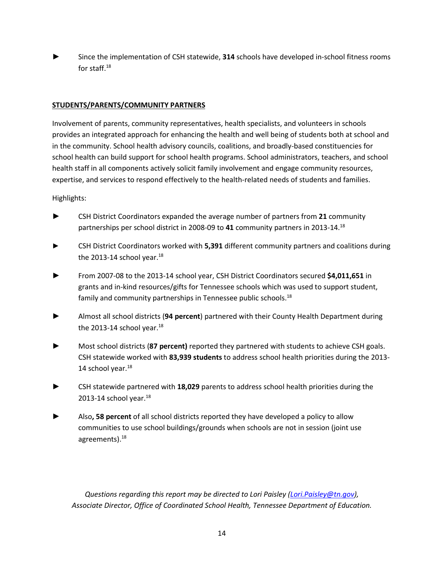Since the implementation of CSH statewide, 314 schools have developed in-school fitness rooms for staff.18

#### **STUDENTS/PARENTS/COMMUNITY PARTNERS**

Involvement of parents, community representatives, health specialists, and volunteers in schools provides an integrated approach for enhancing the health and well being of students both at school and in the community. School health advisory councils, coalitions, and broadly-based constituencies for school health can build support for school health programs. School administrators, teachers, and school health staff in all components actively solicit family involvement and engage community resources, expertise, and services to respond effectively to the health-related needs of students and families.

Highlights:

- ► CSH District Coordinators expanded the average number of partners from **21** community partnerships per school district in 2008-09 to **41** community partners in 2013-14. 18
- ► CSH District Coordinators worked with **5,391** different community partners and coalitions during the 2013-14 school year. $18$
- ► From 2007-08 to the 2013-14 school year, CSH District Coordinators secured **\$4,011,651** in grants and in-kind resources/gifts for Tennessee schools which was used to support student, family and community partnerships in Tennessee public schools.<sup>18</sup>
- ► Almost all school districts (**94 percent**) partnered with their County Health Department during the 2013-14 school year. $^{18}$
- ► Most school districts (**87 percent)** reported they partnered with students to achieve CSH goals. CSH statewide worked with **83,939 students** to address school health priorities during the 2013- 14 school year. $^{18}$
- ► CSH statewide partnered with **18,029** parents to address school health priorities during the 2013-14 school year. $^{18}$
- ► Also**, 58 percent** of all school districts reported they have developed a policy to allow communities to use school buildings/grounds when schools are not in session (joint use agreements).<sup>18</sup>

*Questions regarding this report may be directed to Lori Paisley [\(Lori.Paisley@tn.gov\)](mailto:Lori.Paisley@tn.gov), Associate Director, Office of Coordinated School Health, Tennessee Department of Education.*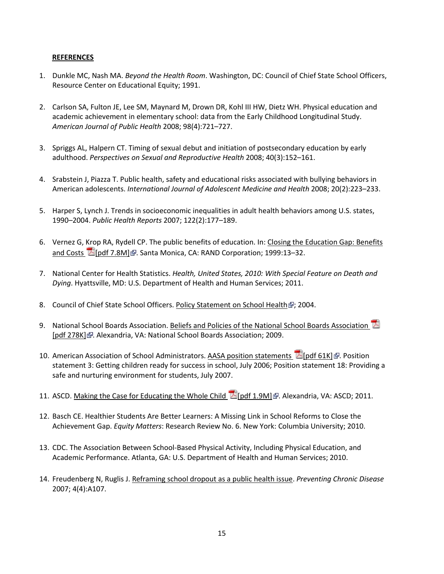#### **REFERENCES**

- 1. Dunkle MC, Nash MA. *Beyond the Health Room*. Washington, DC: Council of Chief State School Officers, Resource Center on Educational Equity; 1991.
- 2. Carlson SA, Fulton JE, Lee SM, Maynard M, Drown DR, Kohl III HW, Dietz WH. Physical education and academic achievement in elementary school: data from the Early Childhood Longitudinal Study. *American Journal of Public Health* 2008; 98(4):721–727.
- 3. Spriggs AL, Halpern CT. Timing of sexual debut and initiation of postsecondary education by early adulthood. *Perspectives on Sexual and Reproductive Health* 2008; 40(3):152–161.
- 4. Srabstein J, Piazza T. Public health, safety and educational risks associated with bullying behaviors in American adolescents. *International Journal of Adolescent Medicine and Health* 2008; 20(2):223–233.
- 5. Harper S, Lynch J. Trends in socioeconomic inequalities in adult health behaviors among U.S. states, 1990–2004. *Public Health Reports* 2007; 122(2):177–189.
- 6. Vernez G, Krop RA, Rydell CP. The public benefits of education. In: [Closing the Education Gap: Benefits](http://www.rand.org/pubs/monograph_reports/2007/MR1036.pdf)  and Costs  $\mathbb{Z}$  [pdf 7[.](http://www.cdc.gov/Other/disclaimer.html)8M] . Santa Monica, CA: RAND Corporation; 1999:13-32.
- 7. National Center for Health Statistics. *Health, United States, 2010: With Special Feature on Death and Dying*. Hyattsville, MD: U.S. Department of Health and Human Services; 2011.
- 8. Council of Chief State School Officers[. Policy Statement on School Health](http://www.ccsso.org/Resources/Publications/Policy_Statement_on_School_Health.html) : 2004.
- 9. National School Boards Association[. Beliefs and Policies of the National School Boards Association](http://www.nsba.org/About/NSBAGovernance/BeliefsandPolicies.pdf) [A] [\[pdf 278K\]](http://www.nsba.org/About/NSBAGovernance/BeliefsandPolicies.pdf) [.](http://www.cdc.gov/Other/disclaimer.html) Alexandria, VA: National School Boards Association; 2009.
- 10. American Association of School Administrators. AASA position statements 区[pdf 61K] . Position statement 3: Getting children ready for success in school, July 2006; Position statement 18: Providing a safe and nurturing environment for students, July 2007.
- 11. ASCD. Making the Case for Educating the Whole Child [2] [pdf 1.9M] . Alexandria, VA: ASCD; 2011.
- 12. Basch CE. Healthier Students Are Better Learners: A Missing Link in School Reforms to Close the Achievement Gap. *Equity Matters*: Research Review No. 6. New York: Columbia University; 2010.
- 13. CDC. The Association Between School-Based Physical Activity, Including Physical Education, and Academic Performance. Atlanta, GA: U.S. Department of Health and Human Services; 2010.
- 14. Freudenberg N, Ruglis J. [Reframing school dropout as a public health issue.](http://www.cdc.gov/pcd/issues/2007/oct/07_0063.htm) *Preventing Chronic Disease* 2007; 4(4):A107.